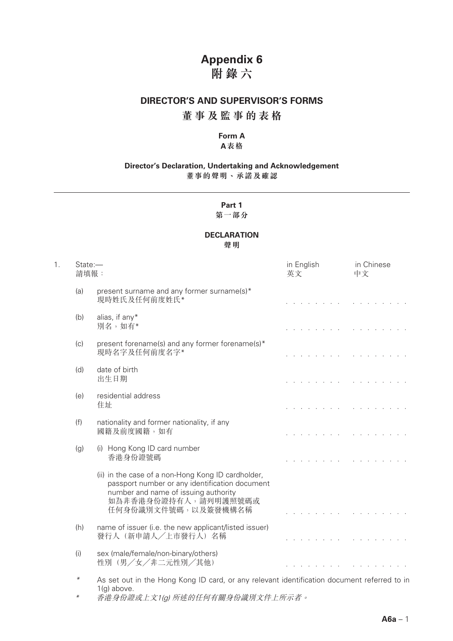### **Appendix 6 附錄六**

#### **DIRECTOR'S AND SUPERVISOR'S FORMS**

### **董事及監事的表格**

#### **Form A A表格**

#### **Director's Declaration, Undertaking and Acknowledgement 董事的聲明、承諾及確認**

### **Part 1**

#### **第一部分**

#### **DECLARATION 聲明**

1. State:— in English in Chinese 請填報: さんしゃ しゅうしゃ しゅうしゃ おおし あいかん 英文 しゅうしゃ 中文 しゅうしゅう (a) present surname and any former surname(s) $*$  現時姓氏及任何前度姓氏\* and a state of the state of the and a straight and (b) alias, if any\* 別名,如有\* (c) present forename(s) and any former forename(s)\* 現時名字及任何前度名字\*  $1 - 1 - 1 = 1$  $\mathbf{r}$  and  $\mathbf{r}$  and  $\mathbf{r}$  and  $\mathbf{r}$ (d) date of birth 出生日期 **Contract Contract Contract** and a state of the state of the (e) residential address 住址  $\sim$   $\sim$   $\sim$ and a strain and a strain a (f) nationality and former nationality, if any 國籍及前度國籍,如有 and a series and and a series and a (g) (i) Hong Kong ID card number 香港身份證號碼 and the state of the state and a straight and (ii) in the case of a non-Hong Kong ID cardholder, passport number or any identification document number and name of issuing authority 如為非香港身份證持有人,請列明護照號碼或 任何身份識別文件號碼,以及簽發機構名稱 and a straight and . . . . . . . (h) name of issuer (i.e. the new applicant/listed issuer) 發行人(新申請人╱上市發行人)名稱 and the state of the state  $\mathbf{r}$  . The set of the set of the set of the set of the set of the set of the set of the set of the set of the set of the set of the set of the set of the set of the set of the set of the set of the set of the set of t (i) sex (male/female/non-binary/others) 性別(男/女/非二元性別/其他) and the state of the state and the state of the state *\** As set out in the Hong Kong ID card, or any relevant identification document referred to in

1(g) above. \* 香港身份證或上文1(g) 所述的任何有關身份識別文件上所示者。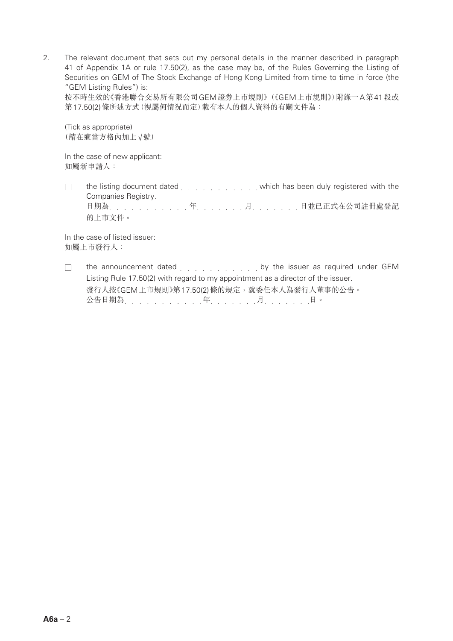2. The relevant document that sets out my personal details in the manner described in paragraph 41 of Appendix 1A or rule 17.50(2), as the case may be, of the Rules Governing the Listing of Securities on GEM of The Stock Exchange of Hong Kong Limited from time to time in force (the "GEM Listing Rules") is:

按不時生效的《香港聯合交易所有限公司GEM證券上市規則》(《GEM上市規則》)附錄一A第41段或 第17.50(2)條所述方式(視屬何情況而定)載有本人的個人資料的有關文件為:

(Tick as appropriate) (請在適當方格內加上√號)

In the case of new applicant: 如屬新申請人:

 $\Box$ the listing document dated entity and which has been duly registered with the Companies Registry. 日期為 年 月 日並已正式在公司註冊處登記

In the case of listed issuer:

的上市文件。

如屬上市發行人:

the announcement dated etheropy is a subset of the issuer as required under GEM  $\Box$ Listing Rule 17.50(2) with regard to my appointment as a director of the issuer. 發行人按《GEM上市規則》第17.50(2)條的規定,就委任本人為發行人董事的公告。 公告日期為<br>2010年 - 2020年 - 2021年 - 2021年 - 2021年 - 2021年 - 2021年 - 2021年 - 2021年 - 2021年 - 2021年 - 2022年 - 2022年 - 2022年 - 2022年 - 2022年 - 2022年 - 2022年 - 2022年 - 2022年 - 2022年 - 2022年 - 2022年 - 2022年 - 2022年 - 2022年 - 2022年 -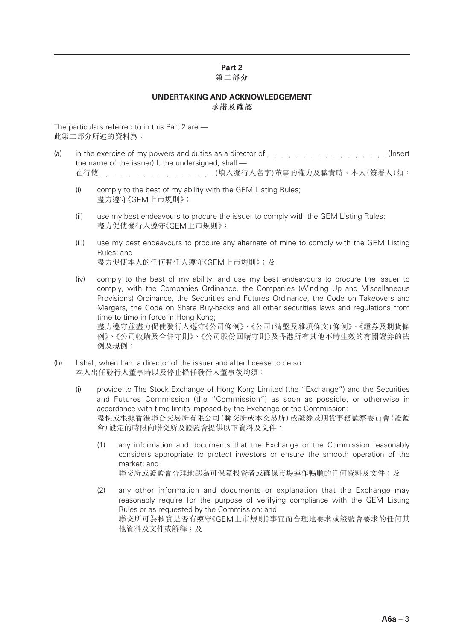# **Part 2**

#### **第二部分**

#### **UNDERTAKING AND ACKNOWLEDGEMENT 承諾及確認**

The particulars referred to in this Part 2 are:— 此第二部分所述的資料為:

- (a) in the exercise of my powers and duties as a director of entity and the exercise of my powers and duties as a director of entity and all contacts and the exercise of my powers and duties as a director of entity and all the name of the issuer) I, the undersigned, shall:-在行使 (填入發行人名字)董事的權力及職責時,本人(簽署人)須:
	- (i) comply to the best of my ability with the GEM Listing Rules; 盡力遵守《GEM上巿規則》;
	- (ii) use my best endeavours to procure the issuer to comply with the GEM Listing Rules; 盡力促使發行人遵守《GEM上巿規則》;
	- (iii) use my best endeavours to procure any alternate of mine to comply with the GEM Listing Rules; and 盡力促使本人的任何替任人遵守《GEM上巿規則》;及
	- (iv) comply to the best of my ability, and use my best endeavours to procure the issuer to comply, with the Companies Ordinance, the Companies (Winding Up and Miscellaneous Provisions) Ordinance, the Securities and Futures Ordinance, the Code on Takeovers and Mergers, the Code on Share Buy-backs and all other securities laws and regulations from time to time in force in Hong Kong; 盡力遵守並盡力促使發行人遵守《公司條例》、《公司(清盤及雜項條文)條例》、《證券及期貨條 例》、《公司收購及合併守則》、《公司股份回購守則》及香港所有其他不時生效的有關證券的法 例及規例;
- (b) I shall, when I am a director of the issuer and after I cease to be so: 本人出任發行人董事時以及停止擔任發行人董事後均須:
	- (i) provide to The Stock Exchange of Hong Kong Limited (the "Exchange") and the Securities and Futures Commission (the "Commission") as soon as possible, or otherwise in accordance with time limits imposed by the Exchange or the Commission: 盡快或根據香港聯合交易所有限公司(聯交所或本交易所)或證券及期貨事務監察委員會(證監 會)設定的時限向聯交所及證監會提供以下資料及文件:
		- (1) any information and documents that the Exchange or the Commission reasonably considers appropriate to protect investors or ensure the smooth operation of the market; and 聯交所或證監會合理地認為可保障投資者或確保市場運作暢順的任何資料及文件;及
		- (2) any other information and documents or explanation that the Exchange may reasonably require for the purpose of verifying compliance with the GEM Listing Rules or as requested by the Commission; and 聯交所可為核實是否有遵守《GEM上市規則》事宜而合理地要求或證監會要求的任何其 他資料及文件或解釋;及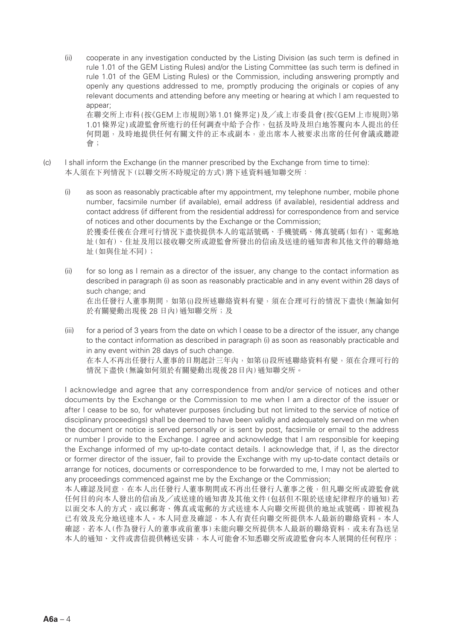- (ii) cooperate in any investigation conducted by the Listing Division (as such term is defined in rule 1.01 of the GEM Listing Rules) and/or the Listing Committee (as such term is defined in rule 1.01 of the GEM Listing Rules) or the Commission, including answering promptly and openly any questions addressed to me, promptly producing the originals or copies of any relevant documents and attending before any meeting or hearing at which I am requested to appear; 在聯交所上巿科(按《GEM上市規則》第1.01條界定)及╱或上巿委員會(按《GEM上市規則》第 1.01條界定)或證監會所進行的任何調查中給予合作,包括及時及坦白地答覆向本人提出的任 何問題,及時地提供任何有關文件的正本或副本,並出席本人被要求出席的任何會議或聽證
- (c) I shall inform the Exchange (in the manner prescribed by the Exchange from time to time): 本人須在下列情況下(以聯交所不時規定的方式)將下述資料通知聯交所:

會;

- (i) as soon as reasonably practicable after my appointment, my telephone number, mobile phone number, facsimile number (if available), email address (if available), residential address and contact address (if different from the residential address) for correspondence from and service of notices and other documents by the Exchange or the Commission; 於獲委任後在合理可行情況下盡快提供本人的電話號碼、手機號碼、傳真號碼(如有)、電郵地 址(如有)、住址及用以接收聯交所或證監會所發出的信函及送達的通知書和其他文件的聯絡地 址(如與住址不同);
- (ii) for so long as I remain as a director of the issuer, any change to the contact information as described in paragraph (i) as soon as reasonably practicable and in any event within 28 days of such change; and 在出任發行人董事期間,如第(i)段所述聯絡資料有變,須在合理可行的情況下盡快(無論如何 於有關變動出現後 28 日內)通知聯交所;及
- (iii) for a period of 3 years from the date on which I cease to be a director of the issuer, any change to the contact information as described in paragraph (i) as soon as reasonably practicable and in any event within 28 days of such change. 在本人不再出任發行人董事的日期起計三年內,如第(i)段所述聯絡資料有變,須在合理可行的 情況下盡快(無論如何須於有關變動出現後28日內)通知聯交所。

I acknowledge and agree that any correspondence from and/or service of notices and other documents by the Exchange or the Commission to me when I am a director of the issuer or after I cease to be so, for whatever purposes (including but not limited to the service of notice of disciplinary proceedings) shall be deemed to have been validly and adequately served on me when the document or notice is served personally or is sent by post, facsimile or email to the address or number I provide to the Exchange. I agree and acknowledge that I am responsible for keeping the Exchange informed of my up-to-date contact details. I acknowledge that, if I, as the director or former director of the issuer, fail to provide the Exchange with my up-to-date contact details or arrange for notices, documents or correspondence to be forwarded to me, I may not be alerted to any proceedings commenced against me by the Exchange or the Commission;

本人確認及同意,在本人出任發行人董事期間或不再出任發行人董事之後,但凡聯交所或證監會就 任何目的向本人發出的信函及╱或送達的通知書及其他文件(包括但不限於送達紀律程序的通知)若 以面交本人的方式,或以郵寄、傳真或電郵的方式送達本人向聯交所提供的地址或號碼,即被視為 已有效及充分地送達本人。本人同意及確認,本人有責任向聯交所提供本人最新的聯絡資料。本人 確認,若本人(作為發行人的董事或前董事)未能向聯交所提供本人最新的聯絡資料,或未有為送呈 本人的涌知、文件或書信提供轉送安排,本人可能會不知悉聯交所或證監會向本人展開的任何程序;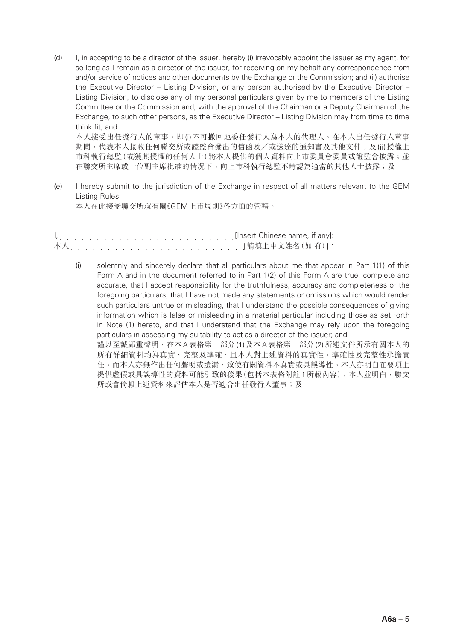(d) I, in accepting to be a director of the issuer, hereby (i) irrevocably appoint the issuer as my agent, for so long as I remain as a director of the issuer, for receiving on my behalf any correspondence from and/or service of notices and other documents by the Exchange or the Commission; and (ii) authorise the Executive Director – Listing Division, or any person authorised by the Executive Director – Listing Division, to disclose any of my personal particulars given by me to members of the Listing Committee or the Commission and, with the approval of the Chairman or a Deputy Chairman of the Exchange, to such other persons, as the Executive Director – Listing Division may from time to time think fit; and 本人接受出任發行人的董事,即(i)不可撤回地委任發行人為本人的代理人,在本人出任發行人董事

期間,代表本人接收任何聯交所或證監會發出的信函及/或送達的通知書及其他文件;及(ii)授權上 市科執行總監(或獲其授權的任何人士)將本人提供的個人資料向上市委員會委員或證監會披露;並 在聯交所主席或一位副主席批准的情況下,向上巿科執行總監不時認為適當的其他人士披露;及

(e) I hereby submit to the jurisdiction of the Exchange in respect of all matters relevant to the GEM Listing Rules. 本人在此接受聯交所就有關《GEM上市規則》各方面的管轄。

(i) solemnly and sincerely declare that all particulars about me that appear in Part 1(1) of this Form A and in the document referred to in Part 1(2) of this Form A are true, complete and accurate, that I accept responsibility for the truthfulness, accuracy and completeness of the foregoing particulars, that I have not made any statements or omissions which would render such particulars untrue or misleading, that I understand the possible consequences of giving information which is false or misleading in a material particular including those as set forth in Note (1) hereto, and that I understand that the Exchange may rely upon the foregoing particulars in assessing my suitability to act as a director of the issuer; and 謹以至誠鄭重聲明,在本A表格第一部分(1)及本A表格第一部分(2)所述文件所示有關本人的 所有詳細資料均為真實、完整及準確,且本人對上述資料的真實性、準確性及完整性承擔責 任,而本人亦無作出任何聲明或遺漏,致使有關資料不真實或具誤導性,本人亦明白在要項上 提供虛假或具誤導性的資料可能引致的後果(包括本表格附註1所載內容);本人並明白,聯交 所或會倚賴上述資料來評估本人是否適合出任發行人董事;及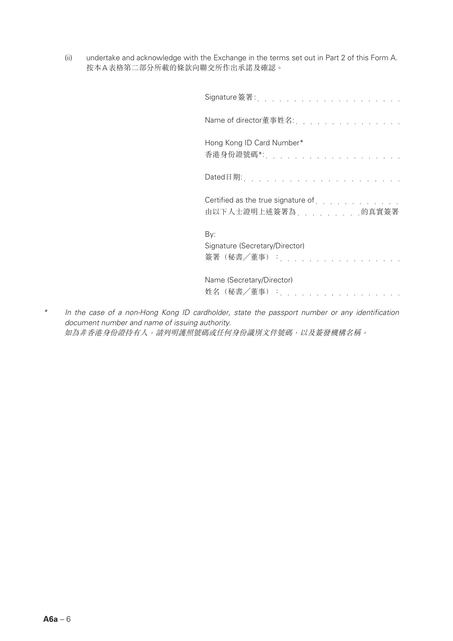(ii) undertake and acknowledge with the Exchange in the terms set out in Part 2 of this Form A. 按本A表格第二部分所載的條款向聯交所作出承諾及確認。

| Signature 簽署 :                                                                                          |
|---------------------------------------------------------------------------------------------------------|
| Name of director董事姓名:                                                                                   |
| Hong Kong ID Card Number*<br>香港身份證號碼*:                                                                  |
| Dated日期:                                                                                                |
| Certified as the true signature of enterpretent contact to the contact the contact of the Certification |
| By:<br>Signature (Secretary/Director)<br>簽署(秘書/董事):                                                     |
| Name (Secretary/Director)<br>姓名(秘書/董事):                                                                 |

*\* In the case of a non-Hong Kong ID cardholder, state the passport number or any identification document number and name of issuing authority.* 如為非香港身份證持有人,請列明護照號碼或任何身份識別文件號碼,以及簽發機構名稱。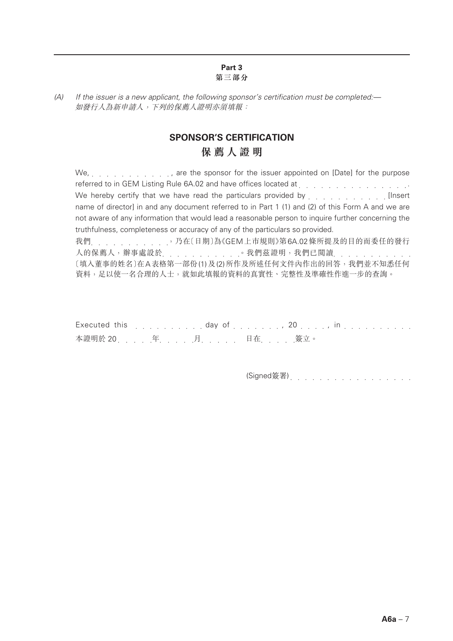#### **Part 3 第三部分**

*(A) If the issuer is a new applicant, the following sponsor's certification must be completed:—* 如發行人為新申請人,下列的保薦人證明亦須填報:

## **SPONSOR'S CERTIFICATION 保薦人證明**

We, . . . . . . . . . . . . . . . are the sponsor for the issuer appointed on [Date] for the purpose referred to in GEM Listing Rule 6A.02 and have offices located at enterpresent and contact the set of the set o We hereby certify that we have read the particulars provided by  $\ldots$ ,  $\ldots$ ,  $\ldots$ name of director] in and any document referred to in Part 1 (1) and (2) of this Form A and we are not aware of any information that would lead a reasonable person to inquire further concerning the truthfulness, completeness or accuracy of any of the particulars so provided. 我們 , , , , , , , , , , , , 乃在〔日期〕為《GEM上市規則》第6A.02條所提及的目的而委任的發行 人的保薦人,辦事處設於 。 。 。 。 。我們茲證明,我們已閱讀 。 。 。 。 。 。 。 。 〔填入董事的姓名〕在A表格第一部份(1)及(2)所作及所述任何文件內作出的回答,我們並不知悉任何 資料,足以使一名合理的人士,就如此填報的資料的真實性、完整性及準確性作進一步的查詢。

|  |                        | Executed this enterprise on the day of the series of the series of the series of the series of the series of the series of the series of the series of the series of the series of the series of the series of the series of t |
|--|------------------------|--------------------------------------------------------------------------------------------------------------------------------------------------------------------------------------------------------------------------------|
|  | 本證明於 20. 年. 月. 日在. 簽立。 |                                                                                                                                                                                                                                |

(Signed簽署)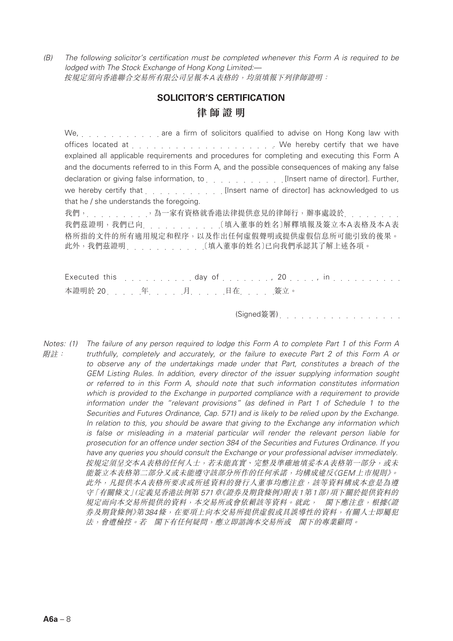*(B) The following solicitor's certification must be completed whenever this Form A is required to be lodged with The Stock Exchange of Hong Kong Limited:—* 按規定須向香港聯合交易所有限公司呈報本A表格的,均須填報下列律師證明:

### **SOLICITOR'S CERTIFICATION 律師證明**

We, wild carry with the are a firm of solicitors qualified to advise on Hong Kong law with offices located at . We hereby certify that we have explained all applicable requirements and procedures for completing and executing this Form A and the documents referred to in this Form A, and the possible consequences of making any false declaration or giving false information, to entity and such all insert name of director]. Further, we hereby certify that  $\ldots$ ,  $\ldots$ ,  $\ldots$  [Insert name of director] has acknowledged to us that he / she understands the foregoing. 我們, , , , , , , , 為一家有資格就香港法律提供意見的律師行,辦事處設於, , , , , , , 我們茲證明,我們已向 〔填入董事的姓名〕解釋填報及簽立本A表格及本A表 格所指的文件的所有適用規定和程序,以及作出任何虛假聲明或提供虛假信息所可能引致的後果。 此外,我們茲證明 〔填入董事的姓名〕已向我們承認其了解上述各項。

|                        |  |  | Executed this $\ldots \ldots \ldots$ day of $\ldots \ldots$ , 20 $\ldots \ldots$ in $\ldots \ldots \ldots$ |  |
|------------------------|--|--|------------------------------------------------------------------------------------------------------------|--|
| 本證明於 20. 年. 月. 日在. 簽立。 |  |  |                                                                                                            |  |

(Signed簽署)

*Notes: (1) The failure of any person required to lodge this Form A to complete Part 1 of this Form A* 附註: *truthfully, completely and accurately, or the failure to execute Part 2 of this Form A or to observe any of the undertakings made under that Part, constitutes a breach of the GEM Listing Rules. In addition, every director of the issuer supplying information sought or referred to in this Form A, should note that such information constitutes information which is provided to the Exchange in purported compliance with a requirement to provide information under the "relevant provisions" (as defined in Part 1 of Schedule 1 to the Securities and Futures Ordinance, Cap. 571) and is likely to be relied upon by the Exchange. In relation to this, you should be aware that giving to the Exchange any information which is false or misleading in a material particular will render the relevant person liable for prosecution for an offence under section 384 of the Securities and Futures Ordinance. If you have any queries you should consult the Exchange or your professional adviser immediately.* 按規定須呈交本A表格的任何人士,若未能真實、完整及準確地填妥本A表格第一部分,或未 能簽立本表格第二部分又或未能遵守該部分所作的任何承諾,均構成違反《GEM上市規則》。 此外,凡提供本A表格所要求或所述資料的發行人董事均應注意,該等資料構成本意是為遵 守「有關條文」(定義見香港法例第 571章《證券及期貨條例》附表1第1部)項下關於提供資料的 規定而向本交易所提供的資料,本交易所或會依賴該等資料。就此, 閣下應注意,根據《證 券及期貨條例》第384條,在要項上向本交易所提供虛假或具誤導性的資料,有關人士即屬犯 法,會遭檢控。若 閣下有任何疑問,應立即諮詢本交易所或 閣下的專業顧問。